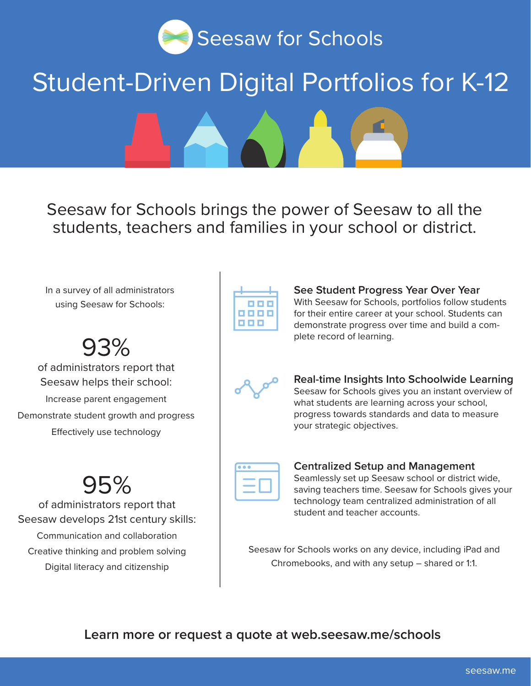

# Student-Driven Digital Portfolios for K-12

Seesaw for Schools brings the power of Seesaw to all the students, teachers and families in your school or district.

In a survey of all administrators using Seesaw for Schools:

93%

of administrators report that Seesaw helps their school: Increase parent engagement Demonstrate student growth and progress Efectively use technology

### 95%

of administrators report that Seesaw develops 21st century skills: Communication and collaboration Creative thinking and problem solving Digital literacy and citizenship

|       | <b>THE</b> |  |
|-------|------------|--|
| 8866  |            |  |
| 1 N O |            |  |

**See Student Progress Year Over Year** With Seesaw for Schools, portfolios follow students for their entire career at your school. Students can demonstrate progress over time and build a complete record of learning.



**Real-time Insights Into Schoolwide Learning** Seesaw for Schools gives you an instant overview of what students are learning across your school, progress towards standards and data to measure your strategic objectives.

#### **Centralized Setup and Management** Seamlessly set up Seesaw school or district wide, saving teachers time. Seesaw for Schools gives your

technology team centralized administration of all student and teacher accounts.

Seesaw for Schools works on any device, including iPad and Chromebooks, and with any setup – shared or 1:1.

**Learn more or request a quote at web.seesaw.me/schools**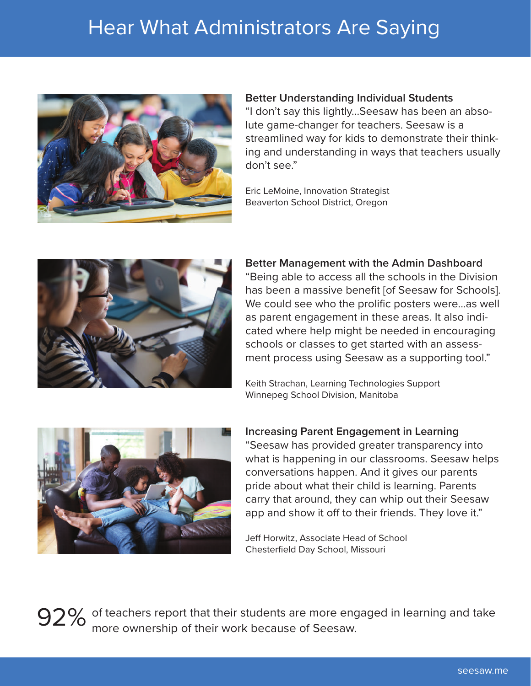### Hear What Administrators Are Saying



#### **Better Understanding Individual Students**

"I don't say this lightly...Seesaw has been an absolute game-changer for teachers. Seesaw is a streamlined way for kids to demonstrate their thinking and understanding in ways that teachers usually don't see."

Eric LeMoine, Innovation Strategist Beaverton School District, Oregon



#### **Better Management with the Admin Dashboard**

"Being able to access all the schools in the Division has been a massive benefit [of Seesaw for Schools]. We could see who the prolific posters were...as well as parent engagement in these areas. It also indicated where help might be needed in encouraging schools or classes to get started with an assessment process using Seesaw as a supporting tool."

Keith Strachan, Learning Technologies Support Winnepeg School Division, Manitoba



### **Increasing Parent Engagement in Learning** "Seesaw has provided greater transparency into what is happening in our classrooms. Seesaw helps conversations happen. And it gives our parents pride about what their child is learning. Parents carry that around, they can whip out their Seesaw app and show it off to their friends. They love it."

Jeff Horwitz, Associate Head of School Chesterfield Day School, Missouri

92% of teachers report that their students are more engaged in learning and take more ownership of their work because of Seesaw.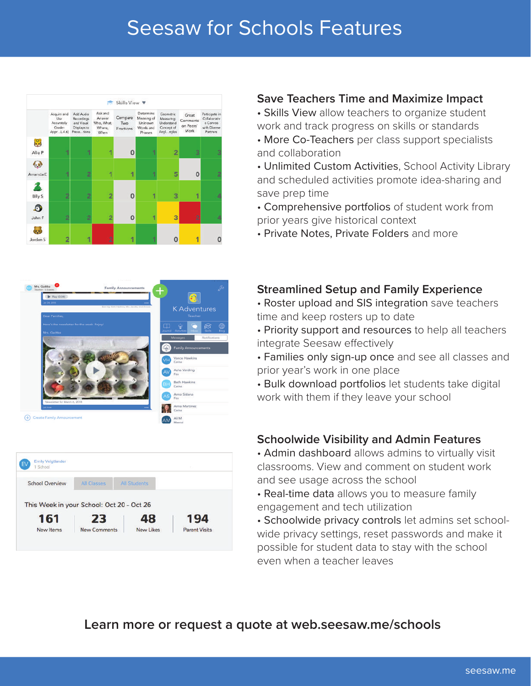### Seesaw for Schools Features







### **Save Teachers Time and Maximize Impact**

• Skills View allow teachers to organize student work and track progress on skills or standards

• More Co-Teachers per class support specialists and collaboration

• Unlimited Custom Activities, School Activity Library and scheduled activities promote idea-sharing and save prep time

• Comprehensive portfolios of student work from prior years give historical context

• Private Notes, Private Folders and more

### **Streamlined Setup and Family Experience**

• Roster upload and SIS integration save teachers time and keep rosters up to date

• Priority support and resources to help all teachers integrate Seesaw efectively

• Families only sign-up once and see all classes and prior year's work in one place

• Bulk download portfolios let students take digital work with them if they leave your school

### **Schoolwide Visibility and Admin Features**

• Admin dashboard allows admins to virtually visit classrooms. View and comment on student work and see usage across the school

• Real-time data allows you to measure family engagement and tech utilization

• Schoolwide privacy controls let admins set schoolwide privacy settings, reset passwords and make it possible for student data to stay with the school even when a teacher leaves

### **Learn more or request a quote at web.seesaw.me/schools**